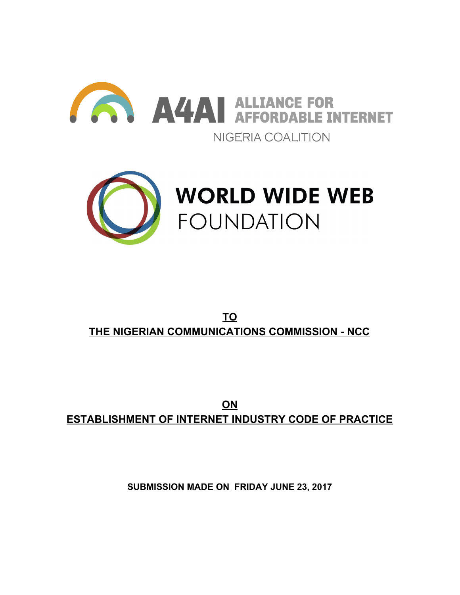



# **TO THE NIGERIAN COMMUNICATIONS COMMISSION - NCC**

**ON ESTABLISHMENT OF INTERNET INDUSTRY CODE OF PRACTICE**

**SUBMISSION MADE ON FRIDAY JUNE 23, 2017**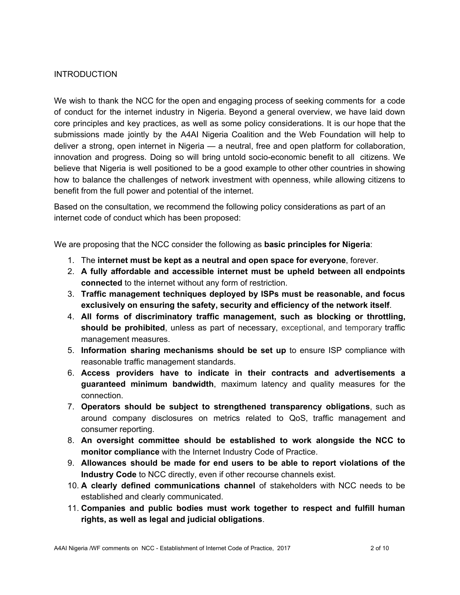## INTRODUCTION

We wish to thank the NCC for the open and engaging process of seeking comments for a code of conduct for the internet industry in Nigeria. Beyond a general overview, we have laid down core principles and key practices, as well as some policy considerations. It is our hope that the submissions made jointly by the A4AI Nigeria Coalition and the Web Foundation will help to deliver a strong, open internet in Nigeria — a neutral, free and open platform for collaboration, innovation and progress. Doing so will bring untold socio-economic benefit to all citizens. We believe that Nigeria is well positioned to be a good example to other other countries in showing how to balance the challenges of network investment with openness, while allowing citizens to benefit from the full power and potential of the internet.

Based on the consultation, we recommend the following policy considerations as part of an internet code of conduct which has been proposed:

We are proposing that the NCC consider the following as **basic principles for Nigeria**:

- 1. The **internet must be kept as a neutral and open space for everyone**, forever.
- 2. **A fully affordable and accessible internet must be upheld between all endpoints connected** to the internet without any form of restriction.
- 3. **Traffic management techniques deployed by ISPs must be reasonable, and focus exclusively on ensuring the safety, security and efficiency of the network itself**.
- 4. **All forms of discriminatory traffic management, such as blocking or throttling, should be prohibited**, unless as part of necessary, exceptional, and temporary traffic management measures.
- 5. **Information sharing mechanisms should be set up** to ensure ISP compliance with reasonable traffic management standards.
- 6. **Access providers have to indicate in their contracts and advertisements a guaranteed minimum bandwidth**, maximum latency and quality measures for the connection.
- 7. **Operators should be subject to strengthened transparency obligations**, such as around company disclosures on metrics related to QoS, traffic management and consumer reporting.
- 8. **An oversight committee should be established to work alongside the NCC to monitor compliance** with the Internet Industry Code of Practice.
- 9. **Allowances should be made for end users to be able to report violations of the Industry Code** to NCC directly, even if other recourse channels exist.
- 10. **A clearly defined communications channel** of stakeholders with NCC needs to be established and clearly communicated.
- 11. **Companies and public bodies must work together to respect and fulfill human rights, as well as legal and judicial obligations**.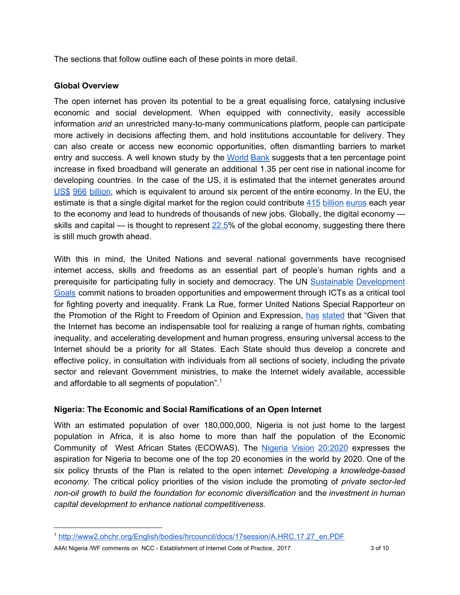The sections that follow outline each of these points in more detail.

## **Global Overview**

The open internet has proven its potential to be a great equalising force, catalysing inclusive economic and social development. When equipped with connectivity, easily accessible information *and* an unrestricted many-to-many communications platform, people can participate more actively in decisions affecting them, and hold institutions accountable for delivery. They can also create or access new economic opportunities, often dismantling barriers to market entry and success. A well known study by the [World](http://pubdocs.worldbank.org/en/391452529895999/WDR16-BP-Exploring-the-Relationship-between-Broadband-and-Economic-Growth-Minges.pdf) Bank suggests that a ten percentage point increase in fixed broadband will generate an additional 1.35 per cent rise in national income for developing countries. In the case of the US, it is estimated that the internet generates around US\$ 966 [billion,](https://internetassociation.org/121015econreport/) which is equivalent to around six percent of the entire economy. In the EU, the estimate is that a single digital market for the region could contribute 415 [billion](http://image-src.bcg.com/BCG_COM/BCG-Digitizing-Europe-May-2016_tcm22-36552.pdf) euros each year to the economy and lead to hundreds of thousands of new jobs. Globally, the digital economy skills and capital — is thought to represent  $22.5\%$  of the global economy, suggesting there there is still much growth ahead.

With this in mind, the United Nations and several national governments have recognised internet access, skills and freedoms as an essential part of people's human rights and a prerequisite for participating fully in society and democracy. The UN Sustainable [Development](https://www.un.org/sustainabledevelopment/sustainable-development-goals/) [Goals](https://www.un.org/sustainabledevelopment/sustainable-development-goals/) commit nations to broaden opportunities and empowerment through ICTs as a critical tool for fighting poverty and inequality. Frank La Rue, former United Nations Special Rapporteur on the Promotion of the Right to Freedom of Opinion and Expression, has [stated](http://www2.ohchr.org/english/bodies/hrcouncil/docs/17session/A.HRC.17.27_en.pdf) that "Given that the Internet has become an indispensable tool for realizing a range of human rights, combating inequality, and accelerating development and human progress, ensuring universal access to the Internet should be a priority for all States. Each State should thus develop a concrete and effective policy, in consultation with individuals from all sections of society, including the private sector and relevant Government ministries, to make the Internet widely available, accessible and affordable to all segments of population".<sup>1</sup>

# **Nigeria: The Economic and Social Ramifications of an Open Internet**

With an estimated population of over 180,000,000, Nigeria is not just home to the largest population in Africa, it is also home to more than half the population of the Economic Community of West African States (ECOWAS). The Nigeria Vision [20:2020](http://www.nationalplanning.gov.ng/index.php/national-plans/nv20-2020) expresses the aspiration for Nigeria to become one of the top 20 economies in the world by 2020. One of the six policy thrusts of the Plan is related to the open internet: *Developing a knowledge-based economy*. The critical policy priorities of the vision include the promoting of *private sector-led non-oil growth to build the foundation for economic diversification* and th*e investment in human capital development to enhance national competitiveness.*

A4AI Nigeria /WF comments on NCC - Establishment of Internet Code of Practice, 2017 30 10

<sup>1</sup> [http://www2.ohchr.org/English/bodies/hrcouncil/docs/17session/A.HRC.17.27\\_en.PDF](http://www2.ohchr.org/English/bodies/hrcouncil/docs/17session/A.HRC.17.27_en.PDF)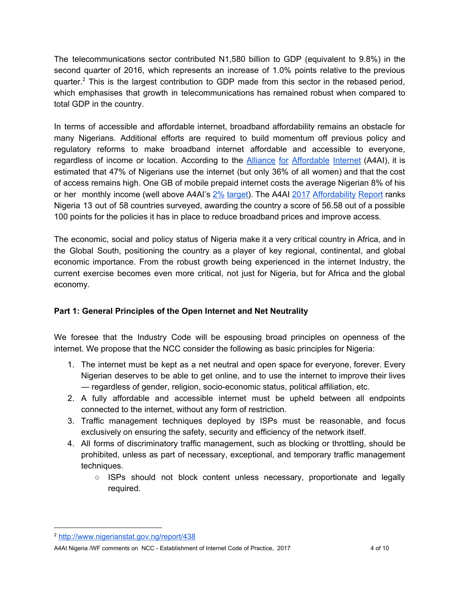The telecommunications sector contributed N1,580 billion to GDP (equivalent to 9.8%) in the second quarter of 2016, which represents an increase of 1.0% points relative to the previous quarter.<sup>2</sup> This is the largest contribution to GDP made from this sector in the rebased period, which emphasises that growth in telecommunications has remained robust when compared to total GDP in the country.

In terms of accessible and affordable internet, broadband affordability remains an obstacle for many Nigerians. Additional efforts are required to build momentum off previous policy and regulatory reforms to make broadband internet affordable and accessible to everyone, regardless of income or location. According to the Alliance for [Affordable](http://1e8q3q16vyc81g8l3h3md6q5f5e.wpengine.netdna-cdn.com/wp-content/uploads/2017/04/A4AI-2017-Affordability-Report_Nigeria_Online.pdf) Internet (A4AI), it is estimated that 47% of Nigerians use the internet (but only 36% of all women) and that the cost of access remains high. One GB of mobile prepaid internet costs the average Nigerian 8% of his or her monthly income (well above A4AI's  $2\%$  [target\)](http://a4ai.org/1for2-affordability-target/). The A4AI 2017 [Affordability](http://a4ai.org/affordability-report/report/2017) Report ranks Nigeria 13 out of 58 countries surveyed, awarding the country a score of 56.58 out of a possible 100 points for the policies it has in place to reduce broadband prices and improve access.

The economic, social and policy status of Nigeria make it a very critical country in Africa, and in the Global South, positioning the country as a player of key regional, continental, and global economic importance. From the robust growth being experienced in the internet Industry, the current exercise becomes even more critical, not just for Nigeria, but for Africa and the global economy.

# **Part 1: General Principles of the Open Internet and Net Neutrality**

We foresee that the Industry Code will be espousing broad principles on openness of the internet. We propose that the NCC consider the following as basic principles for Nigeria:

- 1. The internet must be kept as a net neutral and open space for everyone, forever. Every Nigerian deserves to be able to get online, and to use the internet to improve their lives — regardless of gender, religion, socio-economic status, political affiliation, etc.
- 2. A fully affordable and accessible internet must be upheld between all endpoints connected to the internet, without any form of restriction.
- 3. Traffic management techniques deployed by ISPs must be reasonable, and focus exclusively on ensuring the safety, security and efficiency of the network itself.
- 4. All forms of discriminatory traffic management, such as blocking or throttling, should be prohibited, unless as part of necessary, exceptional, and temporary traffic management techniques.
	- $\circ$  ISPs should not block content unless necessary, proportionate and legally required.

<sup>2</sup> <http://www.nigerianstat.gov.ng/report/438>

A4AI Nigeria /WF comments on NCC - Establishment of Internet Code of Practice, 2017 46 10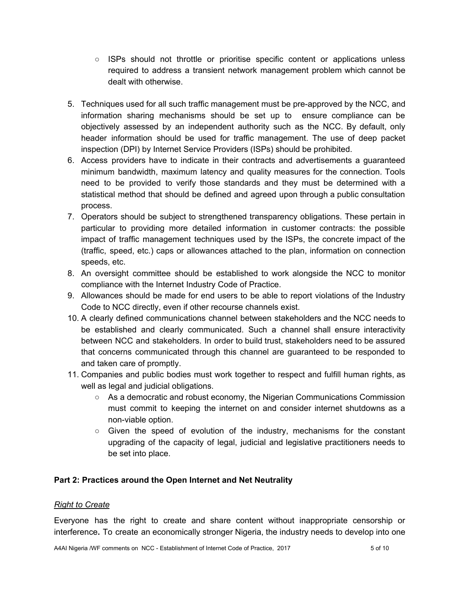- ISPs should not throttle or prioritise specific content or applications unless required to address a transient network management problem which cannot be dealt with otherwise.
- 5. Techniques used for all such traffic management must be pre-approved by the NCC, and information sharing mechanisms should be set up to ensure compliance can be objectively assessed by an independent authority such as the NCC. By default, only header information should be used for traffic management. The use of deep packet inspection (DPI) by Internet Service Providers (ISPs) should be prohibited.
- 6. Access providers have to indicate in their contracts and advertisements a guaranteed minimum bandwidth, maximum latency and quality measures for the connection. Tools need to be provided to verify those standards and they must be determined with a statistical method that should be defined and agreed upon through a public consultation process.
- 7. Operators should be subject to strengthened transparency obligations. These pertain in particular to providing more detailed information in customer contracts: the possible impact of traffic management techniques used by the ISPs, the concrete impact of the (traffic, speed, etc.) caps or allowances attached to the plan, information on connection speeds, etc.
- 8. An oversight committee should be established to work alongside the NCC to monitor compliance with the Internet Industry Code of Practice.
- 9. Allowances should be made for end users to be able to report violations of the Industry Code to NCC directly, even if other recourse channels exist.
- 10. A clearly defined communications channel between stakeholders and the NCC needs to be established and clearly communicated. Such a channel shall ensure interactivity between NCC and stakeholders. In order to build trust, stakeholders need to be assured that concerns communicated through this channel are guaranteed to be responded to and taken care of promptly.
- 11. Companies and public bodies must work together to respect and fulfill human rights, as well as legal and judicial obligations.
	- $\circ$  As a democratic and robust economy, the Nigerian Communications Commission must commit to keeping the internet on and consider internet shutdowns as a non-viable option.
	- $\circ$  Given the speed of evolution of the industry, mechanisms for the constant upgrading of the capacity of legal, judicial and legislative practitioners needs to be set into place.

# **Part 2: Practices around the Open Internet and Net Neutrality**

#### *Right to Create*

Everyone has the right to create and share content without inappropriate censorship or interference**.** To create an economically stronger Nigeria, the industry needs to develop into one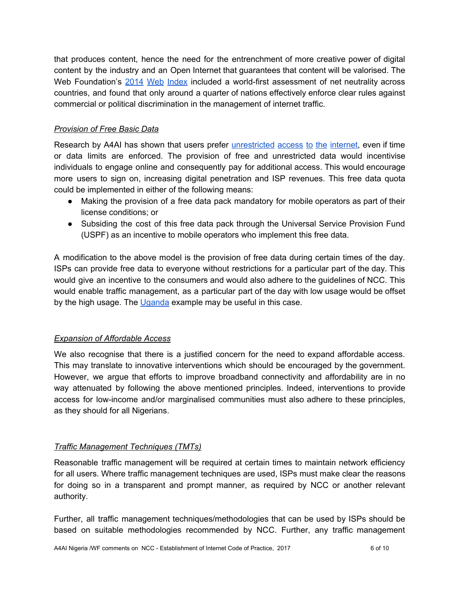that produces content, hence the need for the entrenchment of more creative power of digital content by the industry and an Open Internet that guarantees that content will be valorised. The Web Foundation's 2014 Web [Index](http://thewebindex.org/) [included](http://thewebindex.org/) a world-first assessment of net neutrality across countries, and found that only around a quarter of nations effectively enforce clear rules against commercial or political discrimination in the management of internet traffic.

## *Provision of Free Basic Data*

Research by A4AI has shown that users prefer *[unrestricted](http://a4ai.org/is-zero-rating-really-bringing-people-online/)* access to the internet, even if time or data limits are enforced. The provision of free and unrestricted data would incentivise individuals to engage online and consequently pay for additional access. This would encourage more users to sign on, increasing digital penetration and ISP revenues. This free data quota could be implemented in either of the following means:

- Making the provision of a free data pack mandatory for mobile operators as part of their license conditions; or
- Subsiding the cost of this free data pack through the Universal Service Provision Fund (USPF) as an incentive to mobile operators who implement this free data.

A modification to the above model is the provision of free data during certain times of the day. ISPs can provide free data to everyone without restrictions for a particular part of the day. This would give an incentive to the consumers and would also adhere to the guidelines of NCC. This would enable traffic management, as a particular part of the day with low usage would be offset by the high usage. The [Uganda](http://www.nita.go.ug/media/nita-u-start-free-wifi-roll-out-uganda) example may be useful in this case.

# *Expansion of Affordable Access*

We also recognise that there is a justified concern for the need to expand affordable access. This may translate to innovative interventions which should be encouraged by the government. However, we argue that efforts to improve broadband connectivity and affordability are in no way attenuated by following the above mentioned principles. Indeed, interventions to provide access for low-income and/or marginalised communities must also adhere to these principles, as they should for all Nigerians.

# *Traffic Management Techniques (TMTs)*

Reasonable traffic management will be required at certain times to maintain network efficiency for all users. Where traffic management techniques are used, ISPs must make clear the reasons for doing so in a transparent and prompt manner, as required by NCC or another relevant authority.

Further, all traffic management techniques/methodologies that can be used by ISPs should be based on suitable methodologies recommended by NCC. Further, any traffic management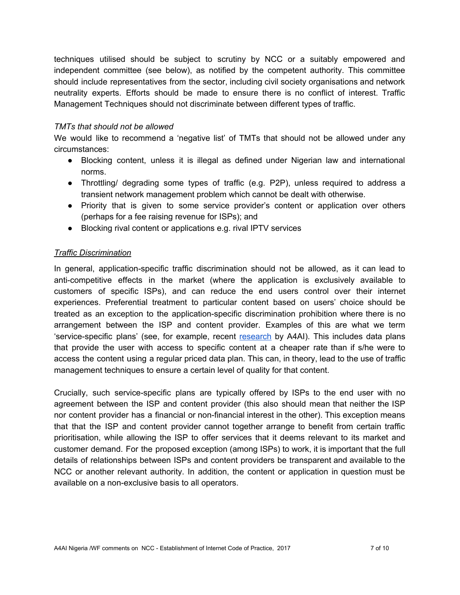techniques utilised should be subject to scrutiny by NCC or a suitably empowered and independent committee (see below), as notified by the competent authority. This committee should include representatives from the sector, including civil society organisations and network neutrality experts. Efforts should be made to ensure there is no conflict of interest. Traffic Management Techniques should not discriminate between different types of traffic.

#### *TMTs that should not be allowed*

We would like to recommend a 'negative list' of TMTs that should not be allowed under any circumstances:

- Blocking content, unless it is illegal as defined under Nigerian law and international norms.
- Throttling/ degrading some types of traffic (e.g. P2P), unless required to address a transient network management problem which cannot be dealt with otherwise.
- Priority that is given to some service provider's content or application over others (perhaps for a fee raising revenue for ISPs); and
- Blocking rival content or applications e.g. rival IPTV services

#### *Traffic Discrimination*

In general, application-specific traffic discrimination should not be allowed, as it can lead to anti-competitive effects in the market (where the application is exclusively available to customers of specific ISPs), and can reduce the end users control over their internet experiences. Preferential treatment to particular content based on users' choice should be treated as an exception to the application-specific discrimination prohibition where there is no arrangement between the ISP and content provider. Examples of this are what we term 'service-specific plans' (see, for example, recent [research](http://1e8q3q16vyc81g8l3h3md6q5f5e.wpengine.netdna-cdn.com/wp-content/uploads/2016/05/A4AI_Impacts-of-Emerging-Mobile-Data-Services_Report-1.pdf) by A4AI). This includes data plans that provide the user with access to specific content at a cheaper rate than if s/he were to access the content using a regular priced data plan. This can, in theory, lead to the use of traffic management techniques to ensure a certain level of quality for that content.

Crucially, such service-specific plans are typically offered by ISPs to the end user with no agreement between the ISP and content provider (this also should mean that neither the ISP nor content provider has a financial or non-financial interest in the other). This exception means that that the ISP and content provider cannot together arrange to benefit from certain traffic prioritisation, while allowing the ISP to offer services that it deems relevant to its market and customer demand. For the proposed exception (among ISPs) to work, it is important that the full details of relationships between ISPs and content providers be transparent and available to the NCC or another relevant authority. In addition, the content or application in question must be available on a non-exclusive basis to all operators.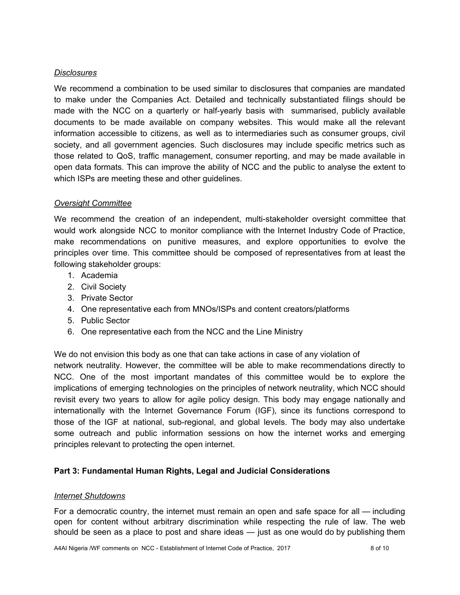#### *Disclosures*

We recommend a combination to be used similar to disclosures that companies are mandated to make under the Companies Act. Detailed and technically substantiated filings should be made with the NCC on a quarterly or half-yearly basis with summarised, publicly available documents to be made available on company websites. This would make all the relevant information accessible to citizens, as well as to intermediaries such as consumer groups, civil society, and all government agencies. Such disclosures may include specific metrics such as those related to QoS, traffic management, consumer reporting, and may be made available in open data formats. This can improve the ability of NCC and the public to analyse the extent to which ISPs are meeting these and other guidelines.

#### *Oversight Committee*

We recommend the creation of an independent, multi-stakeholder oversight committee that would work alongside NCC to monitor compliance with the Internet Industry Code of Practice, make recommendations on punitive measures, and explore opportunities to evolve the principles over time. This committee should be composed of representatives from at least the following stakeholder groups:

- 1. Academia
- 2. Civil Society
- 3. Private Sector
- 4. One representative each from MNOs/ISPs and content creators/platforms
- 5. Public Sector
- 6. One representative each from the NCC and the Line Ministry

We do not envision this body as one that can take actions in case of any violation of network neutrality. However, the committee will be able to make recommendations directly to NCC. One of the most important mandates of this committee would be to explore the implications of emerging technologies on the principles of network neutrality, which NCC should revisit every two years to allow for agile policy design. This body may engage nationally and internationally with the Internet Governance Forum (IGF), since its functions correspond to those of the IGF at national, sub-regional, and global levels. The body may also undertake some outreach and public information sessions on how the internet works and emerging principles relevant to protecting the open internet.

#### **Part 3: Fundamental Human Rights, Legal and Judicial Considerations**

#### *Internet Shutdowns*

For a democratic country, the internet must remain an open and safe space for all — including open for content without arbitrary discrimination while respecting the rule of law. The web should be seen as a place to post and share ideas — just as one would do by publishing them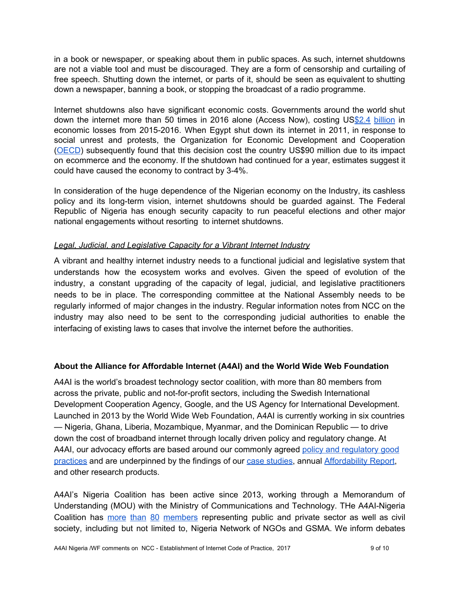in a book or newspaper, or speaking about them in public spaces. As such, internet shutdowns are not a viable tool and must be discouraged. They are a form of censorship and curtailing of free speech. Shutting down the internet, or parts of it, should be seen as equivalent to shutting down a newspaper, banning a book, or stopping the broadcast of a radio programme.

Internet shutdowns also have significant economic costs. Governments around the world shut down the internet more than 50 times in 2016 alone (Access Now), costing US\$2.4 [billion](https://www.brookings.edu/wp-content/uploads/2016/10/intenet-shutdowns-v-3.pdf) in economic losses from 2015-2016. When Egypt shut down its internet in 2011, in response to social unrest and protests, the Organization for Economic Development and Cooperation [\(OECD\)](http://www.oecd.org/countries/egypt/theeconomicimpactofshuttingdowninternetandmobilephoneservicesinegypt.htm) subsequently found that this decision cost the country US\$90 million due to its impact on ecommerce and the economy. If the shutdown had continued for a year, estimates suggest it could have caused the economy to contract by 3-4%.

In consideration of the huge dependence of the Nigerian economy on the Industry, its cashless policy and its long-term vision, internet shutdowns should be guarded against. The Federal Republic of Nigeria has enough security capacity to run peaceful elections and other major national engagements without resorting to internet shutdowns.

## *Legal, Judicial, and Legislative Capacity for a Vibrant Internet Industry*

A vibrant and healthy internet industry needs to a functional judicial and legislative system that understands how the ecosystem works and evolves. Given the speed of evolution of the industry, a constant upgrading of the capacity of legal, judicial, and legislative practitioners needs to be in place. The corresponding committee at the National Assembly needs to be regularly informed of major changes in the industry. Regular information notes from NCC on the industry may also need to be sent to the corresponding judicial authorities to enable the interfacing of existing laws to cases that involve the internet before the authorities.

#### **About the Alliance for Affordable Internet (A4AI) and the World Wide Web Foundation**

A4AI is the world's broadest technology sector coalition, with more than 80 members from across the private, public and not-for-profit sectors, including the Swedish International Development Cooperation Agency, Google, and the US Agency for International Development. Launched in 2013 by the World Wide Web Foundation, A4AI is currently working in six countries — Nigeria, Ghana, Liberia, Mozambique, Myanmar, and the Dominican Republic — to drive down the cost of broadband internet through locally driven policy and regulatory change. At A4AI, our a[d](http://1e8q3q16vyc81g8l3h3md6q5f5e.wpengine.netdna-cdn.com/wp-content/uploads/2016/04/A4AI-Best-Practices.pdf)vocacy efforts are based around our commonly agreed policy and [regulatory](http://1e8q3q16vyc81g8l3h3md6q5f5e.wpengine.netdna-cdn.com/wp-content/uploads/2016/04/A4AI-Best-Practices.pdf) good [practices](http://1e8q3q16vyc81g8l3h3md6q5f5e.wpengine.netdna-cdn.com/wp-content/uploads/2016/04/A4AI-Best-Practices.pdf) and are underpinned by the findings of our [c](http://a4ai.org/policy-research/)ase [studies,](http://a4ai.org/policy-research/) annua[l](http://a4ai.org/affordability-report) [Affordability](http://a4ai.org/affordability-report) Report, and other research products.

A4AI's Nigeria Coalition has been active since 2013, working through a Memorandum of Understanding (MOU) with the Ministry of Communications and Technology. THe A4AI-Nigeria Coalition has more than 80 [members](http://a4ai.org/a4ai-nigeria-multi-stakeholder-coalition/a4ai-nigeria-coalition-members/) representing public and private sector as well as civil society, including but not limited to, Nigeria Network of NGOs and GSMA. We inform debates